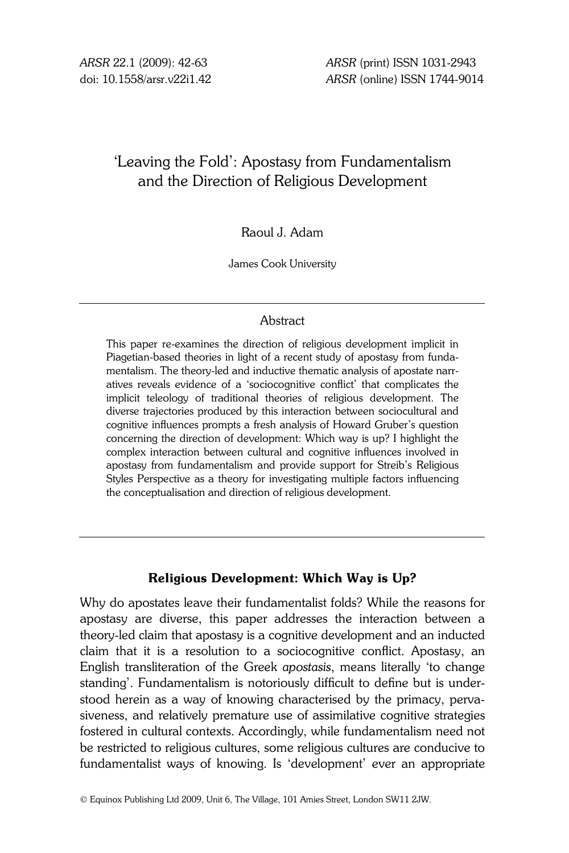# 'Leaving the Fold': Apostasy from Fundamentalism and the Direction of Religious Development

# Raoul J. Adam

James Cook University

### **Abstract**

This paper re-examines the direction of religious development implicit in Piagetian-based theories in light of a recent study of apostasy from fundamentalism. The theory-led and inductive thematic analysis of apostate narratives reveals evidence of a 'sociocognitive conflict' that complicates the implicit teleology of traditional theories of religious development. The diverse trajectories produced by this interaction between sociocultural and cognitive influences prompts a fresh analysis of Howard Gruber's question concerning the direction of development: Which way is up? I highlight the complex interaction between cultural and cognitive influences involved in apostasy from fundamentalism and provide support for Streib's Religious Styles Perspective as a theory for investigating multiple factors influencing the conceptualisation and direction of religious development.

### Religious Development: Which Way is Up?

Why do apostates leave their fundamentalist folds? While the reasons for apostasy are diverse, this paper addresses the interaction between a theory-led claim that apostasy is a cognitive development and an inducted claim that it is a resolution to a sociocognitive conflict. Apostasy, an English transliteration of the Greek apostasis, means literally 'to change standing'. Fundamentalism is notoriously difficult to define but is understood herein as a way of knowing characterised by the primacy, pervasiveness, and relatively premature use of assimilative cognitive strategies fostered in cultural contexts. Accordingly, while fundamentalism need not be restricted to religious cultures, some religious cultures are conducive to fundamentalist ways of knowing. Is 'development' ever an appropriate

© Equinox Publishing Ltd 2009, Unit 6, The Village, 101 Amies Street, London SW11 2JW.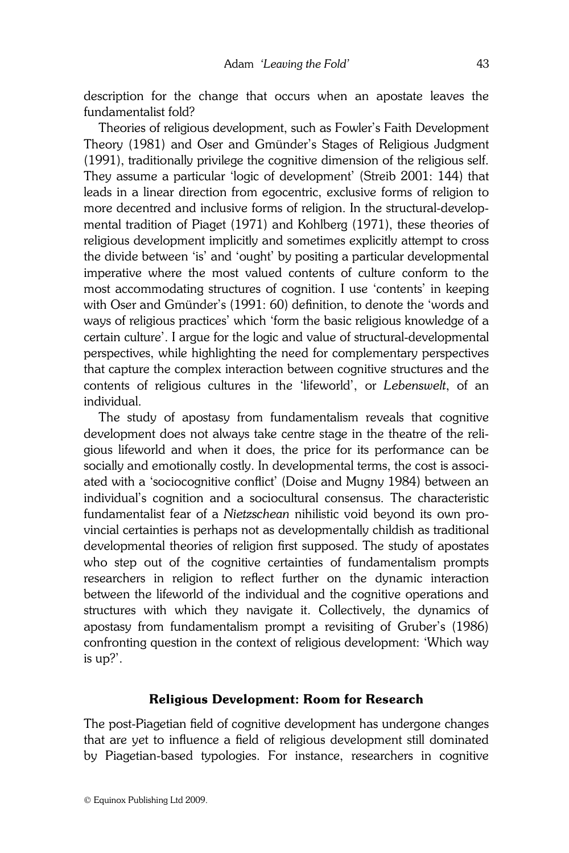description for the change that occurs when an apostate leaves the fundamentalist fold?

 Theories of religious development, such as Fowler's Faith Development Theory (1981) and Oser and Gmünder's Stages of Religious Judgment (1991), traditionally privilege the cognitive dimension of the religious self. They assume a particular 'logic of development' (Streib 2001: 144) that leads in a linear direction from egocentric, exclusive forms of religion to more decentred and inclusive forms of religion. In the structural-developmental tradition of Piaget (1971) and Kohlberg (1971), these theories of religious development implicitly and sometimes explicitly attempt to cross the divide between 'is' and 'ought' by positing a particular developmental imperative where the most valued contents of culture conform to the most accommodating structures of cognition. I use 'contents' in keeping with Oser and Gmünder's (1991: 60) definition, to denote the 'words and ways of religious practices' which 'form the basic religious knowledge of a certain culture'. I argue for the logic and value of structural-developmental perspectives, while highlighting the need for complementary perspectives that capture the complex interaction between cognitive structures and the contents of religious cultures in the 'lifeworld', or Lebenswelt, of an individual.

 The study of apostasy from fundamentalism reveals that cognitive development does not always take centre stage in the theatre of the religious lifeworld and when it does, the price for its performance can be socially and emotionally costly. In developmental terms, the cost is associated with a 'sociocognitive conflict' (Doise and Mugny 1984) between an individual's cognition and a sociocultural consensus. The characteristic fundamentalist fear of a Nietzschean nihilistic void beyond its own provincial certainties is perhaps not as developmentally childish as traditional developmental theories of religion first supposed. The study of apostates who step out of the cognitive certainties of fundamentalism prompts researchers in religion to reflect further on the dynamic interaction between the lifeworld of the individual and the cognitive operations and structures with which they navigate it. Collectively, the dynamics of apostasy from fundamentalism prompt a revisiting of Gruber's (1986) confronting question in the context of religious development: 'Which way is up?'.

#### Religious Development: Room for Research

The post-Piagetian field of cognitive development has undergone changes that are yet to influence a field of religious development still dominated by Piagetian-based typologies. For instance, researchers in cognitive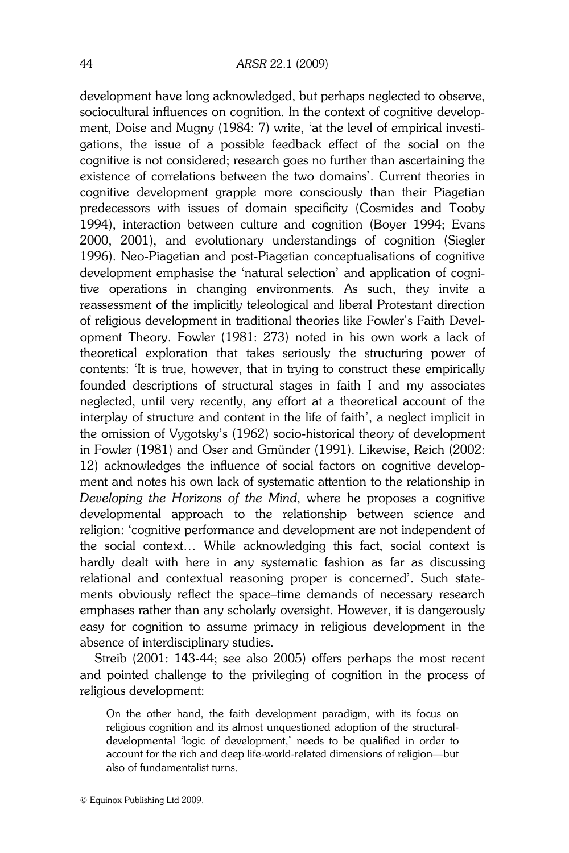development have long acknowledged, but perhaps neglected to observe, sociocultural influences on cognition. In the context of cognitive development, Doise and Mugny (1984: 7) write, 'at the level of empirical investigations, the issue of a possible feedback effect of the social on the cognitive is not considered; research goes no further than ascertaining the existence of correlations between the two domains'. Current theories in cognitive development grapple more consciously than their Piagetian predecessors with issues of domain specificity (Cosmides and Tooby 1994), interaction between culture and cognition (Boyer 1994; Evans 2000, 2001), and evolutionary understandings of cognition (Siegler 1996). Neo-Piagetian and post-Piagetian conceptualisations of cognitive development emphasise the 'natural selection' and application of cognitive operations in changing environments. As such, they invite a reassessment of the implicitly teleological and liberal Protestant direction of religious development in traditional theories like Fowler's Faith Development Theory. Fowler (1981: 273) noted in his own work a lack of theoretical exploration that takes seriously the structuring power of contents: 'It is true, however, that in trying to construct these empirically founded descriptions of structural stages in faith I and my associates neglected, until very recently, any effort at a theoretical account of the interplay of structure and content in the life of faith', a neglect implicit in the omission of Vygotsky's (1962) socio-historical theory of development in Fowler (1981) and Oser and Gmünder (1991). Likewise, Reich (2002: 12) acknowledges the influence of social factors on cognitive development and notes his own lack of systematic attention to the relationship in Developing the Horizons of the Mind, where he proposes a cognitive developmental approach to the relationship between science and religion: 'cognitive performance and development are not independent of the social context… While acknowledging this fact, social context is hardly dealt with here in any systematic fashion as far as discussing relational and contextual reasoning proper is concerned'. Such statements obviously reflect the space–time demands of necessary research emphases rather than any scholarly oversight. However, it is dangerously easy for cognition to assume primacy in religious development in the absence of interdisciplinary studies.

 Streib (2001: 143-44; see also 2005) offers perhaps the most recent and pointed challenge to the privileging of cognition in the process of religious development:

On the other hand, the faith development paradigm, with its focus on religious cognition and its almost unquestioned adoption of the structuraldevelopmental 'logic of development,' needs to be qualified in order to account for the rich and deep life-world-related dimensions of religion—but also of fundamentalist turns.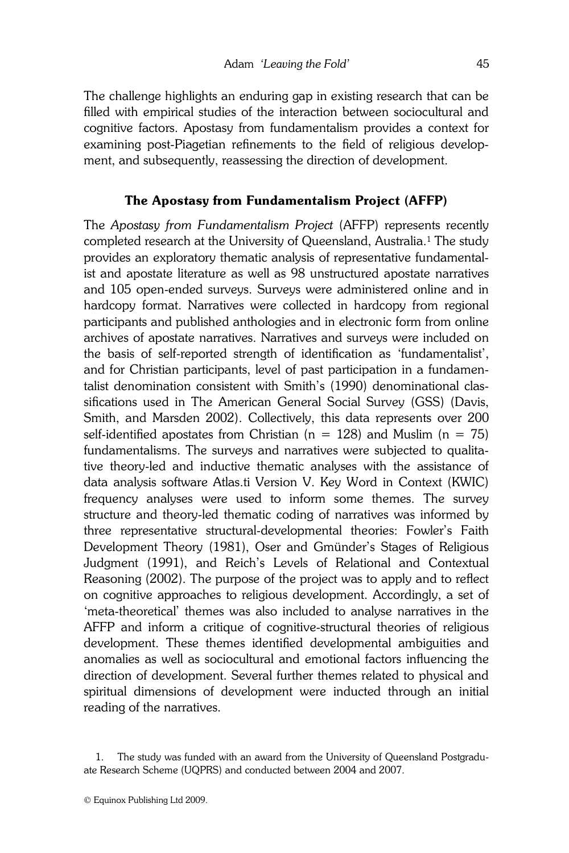The challenge highlights an enduring gap in existing research that can be filled with empirical studies of the interaction between sociocultural and cognitive factors. Apostasy from fundamentalism provides a context for examining post-Piagetian refinements to the field of religious development, and subsequently, reassessing the direction of development.

## The Apostasy from Fundamentalism Project (AFFP)

The Apostasy from Fundamentalism Project (AFFP) represents recently completed research at the University of Queensland, Australia.<sup>1</sup> The study provides an exploratory thematic analysis of representative fundamentalist and apostate literature as well as 98 unstructured apostate narratives and 105 open-ended surveys. Surveys were administered online and in hardcopy format. Narratives were collected in hardcopy from regional participants and published anthologies and in electronic form from online archives of apostate narratives. Narratives and surveys were included on the basis of self-reported strength of identification as 'fundamentalist', and for Christian participants, level of past participation in a fundamentalist denomination consistent with Smith's (1990) denominational classifications used in The American General Social Survey (GSS) (Davis, Smith, and Marsden 2002). Collectively, this data represents over 200 self-identified apostates from Christian ( $n = 128$ ) and Muslim ( $n = 75$ ) fundamentalisms. The surveys and narratives were subjected to qualitative theory-led and inductive thematic analyses with the assistance of data analysis software Atlas.ti Version V. Key Word in Context (KWIC) frequency analyses were used to inform some themes. The survey structure and theory-led thematic coding of narratives was informed by three representative structural-developmental theories: Fowler's Faith Development Theory (1981), Oser and Gmünder's Stages of Religious Judgment (1991), and Reich's Levels of Relational and Contextual Reasoning (2002). The purpose of the project was to apply and to reflect on cognitive approaches to religious development. Accordingly, a set of 'meta-theoretical' themes was also included to analyse narratives in the AFFP and inform a critique of cognitive-structural theories of religious development. These themes identified developmental ambiguities and anomalies as well as sociocultural and emotional factors influencing the direction of development. Several further themes related to physical and spiritual dimensions of development were inducted through an initial reading of the narratives.

 <sup>1.</sup> The study was funded with an award from the University of Queensland Postgraduate Research Scheme (UQPRS) and conducted between 2004 and 2007.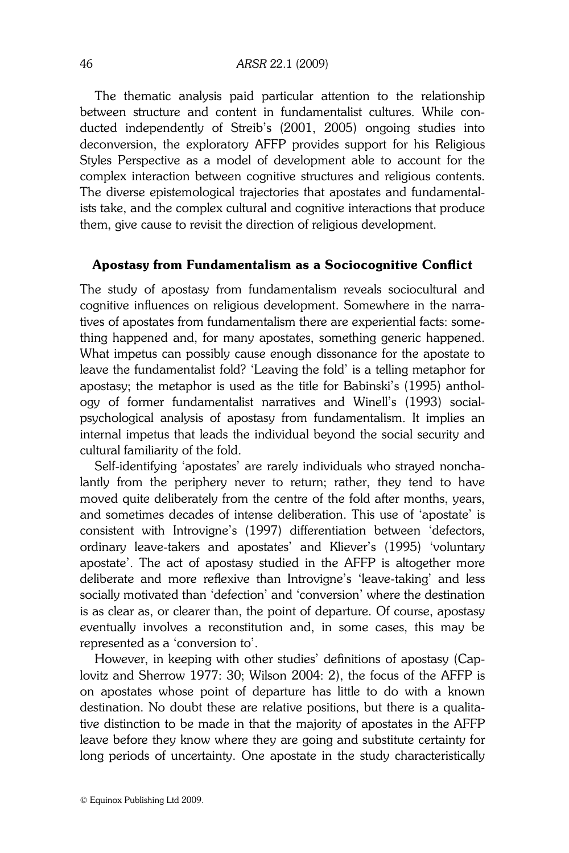The thematic analysis paid particular attention to the relationship between structure and content in fundamentalist cultures. While conducted independently of Streib's (2001, 2005) ongoing studies into deconversion, the exploratory AFFP provides support for his Religious Styles Perspective as a model of development able to account for the complex interaction between cognitive structures and religious contents. The diverse epistemological trajectories that apostates and fundamentalists take, and the complex cultural and cognitive interactions that produce them, give cause to revisit the direction of religious development.

#### Apostasy from Fundamentalism as a Sociocognitive Conflict

The study of apostasy from fundamentalism reveals sociocultural and cognitive influences on religious development. Somewhere in the narratives of apostates from fundamentalism there are experiential facts: something happened and, for many apostates, something generic happened. What impetus can possibly cause enough dissonance for the apostate to leave the fundamentalist fold? 'Leaving the fold' is a telling metaphor for apostasy; the metaphor is used as the title for Babinski's (1995) anthology of former fundamentalist narratives and Winell's (1993) socialpsychological analysis of apostasy from fundamentalism. It implies an internal impetus that leads the individual beyond the social security and cultural familiarity of the fold.

 Self-identifying 'apostates' are rarely individuals who strayed nonchalantly from the periphery never to return; rather, they tend to have moved quite deliberately from the centre of the fold after months, years, and sometimes decades of intense deliberation. This use of 'apostate' is consistent with Introvigne's (1997) differentiation between 'defectors, ordinary leave-takers and apostates' and Kliever's (1995) 'voluntary apostate'. The act of apostasy studied in the AFFP is altogether more deliberate and more reflexive than Introvigne's 'leave-taking' and less socially motivated than 'defection' and 'conversion' where the destination is as clear as, or clearer than, the point of departure. Of course, apostasy eventually involves a reconstitution and, in some cases, this may be represented as a 'conversion to'.

 However, in keeping with other studies' definitions of apostasy (Caplovitz and Sherrow 1977: 30; Wilson 2004: 2), the focus of the AFFP is on apostates whose point of departure has little to do with a known destination. No doubt these are relative positions, but there is a qualitative distinction to be made in that the majority of apostates in the AFFP leave before they know where they are going and substitute certainty for long periods of uncertainty. One apostate in the study characteristically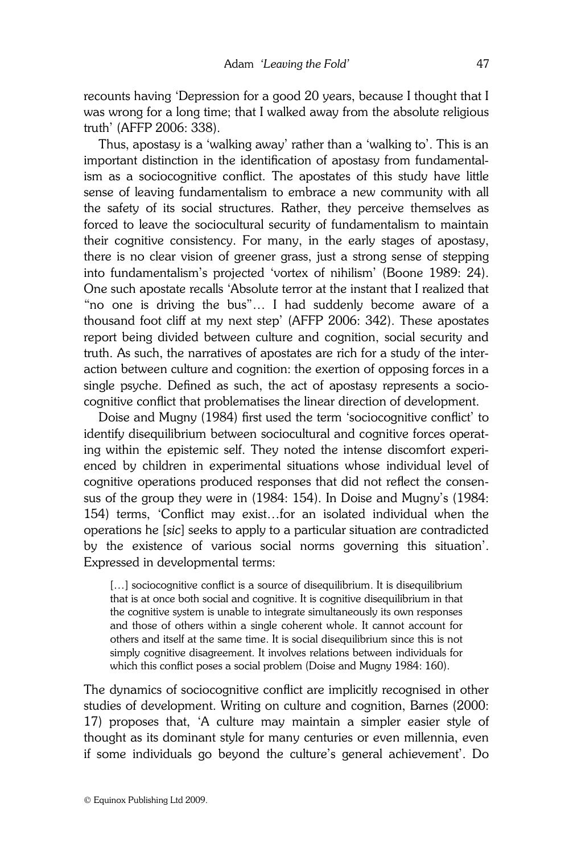recounts having 'Depression for a good 20 years, because I thought that I was wrong for a long time; that I walked away from the absolute religious truth' (AFFP 2006: 338).

 Thus, apostasy is a 'walking away' rather than a 'walking to'. This is an important distinction in the identification of apostasy from fundamentalism as a sociocognitive conflict. The apostates of this study have little sense of leaving fundamentalism to embrace a new community with all the safety of its social structures. Rather, they perceive themselves as forced to leave the sociocultural security of fundamentalism to maintain their cognitive consistency. For many, in the early stages of apostasy, there is no clear vision of greener grass, just a strong sense of stepping into fundamentalism's projected 'vortex of nihilism' (Boone 1989: 24). One such apostate recalls 'Absolute terror at the instant that I realized that "no one is driving the bus"… I had suddenly become aware of a thousand foot cliff at my next step' (AFFP 2006: 342). These apostates report being divided between culture and cognition, social security and truth. As such, the narratives of apostates are rich for a study of the interaction between culture and cognition: the exertion of opposing forces in a single psyche. Defined as such, the act of apostasy represents a sociocognitive conflict that problematises the linear direction of development.

 Doise and Mugny (1984) first used the term 'sociocognitive conflict' to identify disequilibrium between sociocultural and cognitive forces operating within the epistemic self. They noted the intense discomfort experienced by children in experimental situations whose individual level of cognitive operations produced responses that did not reflect the consensus of the group they were in (1984: 154). In Doise and Mugny's (1984: 154) terms, 'Conflict may exist…for an isolated individual when the operations he [sic] seeks to apply to a particular situation are contradicted by the existence of various social norms governing this situation'. Expressed in developmental terms:

[...] sociocognitive conflict is a source of disequilibrium. It is disequilibrium that is at once both social and cognitive. It is cognitive disequilibrium in that the cognitive system is unable to integrate simultaneously its own responses and those of others within a single coherent whole. It cannot account for others and itself at the same time. It is social disequilibrium since this is not simply cognitive disagreement. It involves relations between individuals for which this conflict poses a social problem (Doise and Mugny 1984: 160).

The dynamics of sociocognitive conflict are implicitly recognised in other studies of development. Writing on culture and cognition, Barnes (2000: 17) proposes that, 'A culture may maintain a simpler easier style of thought as its dominant style for many centuries or even millennia, even if some individuals go beyond the culture's general achievement'. Do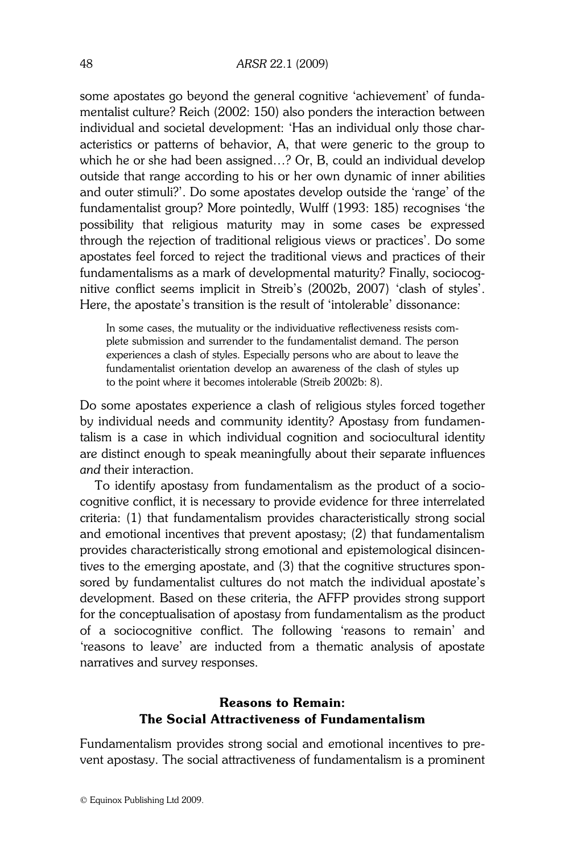some apostates go beyond the general cognitive 'achievement' of fundamentalist culture? Reich (2002: 150) also ponders the interaction between individual and societal development: 'Has an individual only those characteristics or patterns of behavior, A, that were generic to the group to which he or she had been assigned…? Or, B, could an individual develop outside that range according to his or her own dynamic of inner abilities and outer stimuli?'. Do some apostates develop outside the 'range' of the fundamentalist group? More pointedly, Wulff (1993: 185) recognises 'the possibility that religious maturity may in some cases be expressed through the rejection of traditional religious views or practices'. Do some apostates feel forced to reject the traditional views and practices of their fundamentalisms as a mark of developmental maturity? Finally, sociocognitive conflict seems implicit in Streib's (2002b, 2007) 'clash of styles'. Here, the apostate's transition is the result of 'intolerable' dissonance:

In some cases, the mutuality or the individuative reflectiveness resists complete submission and surrender to the fundamentalist demand. The person experiences a clash of styles. Especially persons who are about to leave the fundamentalist orientation develop an awareness of the clash of styles up to the point where it becomes intolerable (Streib 2002b: 8).

Do some apostates experience a clash of religious styles forced together by individual needs and community identity? Apostasy from fundamentalism is a case in which individual cognition and sociocultural identity are distinct enough to speak meaningfully about their separate influences and their interaction.

 To identify apostasy from fundamentalism as the product of a sociocognitive conflict, it is necessary to provide evidence for three interrelated criteria: (1) that fundamentalism provides characteristically strong social and emotional incentives that prevent apostasy; (2) that fundamentalism provides characteristically strong emotional and epistemological disincentives to the emerging apostate, and (3) that the cognitive structures sponsored by fundamentalist cultures do not match the individual apostate's development. Based on these criteria, the AFFP provides strong support for the conceptualisation of apostasy from fundamentalism as the product of a sociocognitive conflict. The following 'reasons to remain' and 'reasons to leave' are inducted from a thematic analysis of apostate narratives and survey responses.

# Reasons to Remain: The Social Attractiveness of Fundamentalism

Fundamentalism provides strong social and emotional incentives to prevent apostasy. The social attractiveness of fundamentalism is a prominent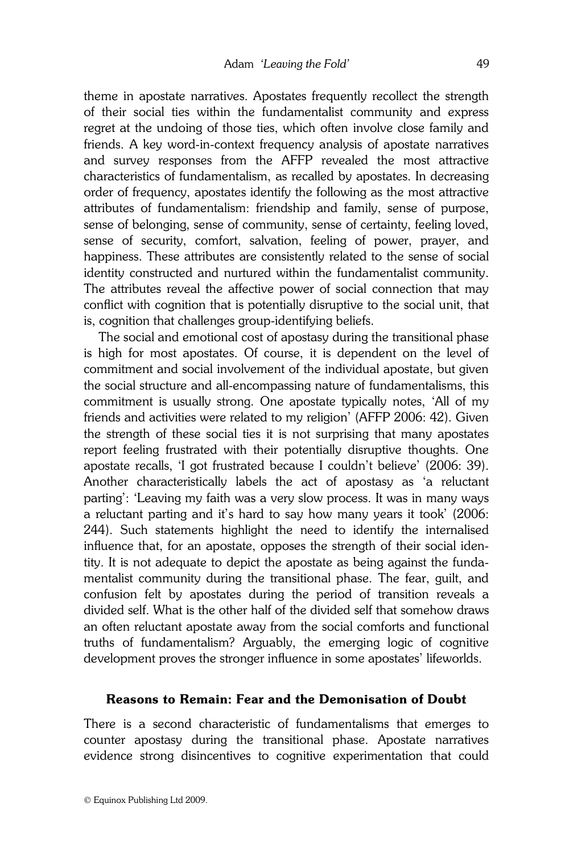theme in apostate narratives. Apostates frequently recollect the strength of their social ties within the fundamentalist community and express regret at the undoing of those ties, which often involve close family and friends. A key word-in-context frequency analysis of apostate narratives and survey responses from the AFFP revealed the most attractive characteristics of fundamentalism, as recalled by apostates. In decreasing order of frequency, apostates identify the following as the most attractive attributes of fundamentalism: friendship and family, sense of purpose, sense of belonging, sense of community, sense of certainty, feeling loved, sense of security, comfort, salvation, feeling of power, prayer, and happiness. These attributes are consistently related to the sense of social identity constructed and nurtured within the fundamentalist community. The attributes reveal the affective power of social connection that may conflict with cognition that is potentially disruptive to the social unit, that is, cognition that challenges group-identifying beliefs.

 The social and emotional cost of apostasy during the transitional phase is high for most apostates. Of course, it is dependent on the level of commitment and social involvement of the individual apostate, but given the social structure and all-encompassing nature of fundamentalisms, this commitment is usually strong. One apostate typically notes, 'All of my friends and activities were related to my religion' (AFFP 2006: 42). Given the strength of these social ties it is not surprising that many apostates report feeling frustrated with their potentially disruptive thoughts. One apostate recalls, 'I got frustrated because I couldn't believe' (2006: 39). Another characteristically labels the act of apostasy as 'a reluctant parting': 'Leaving my faith was a very slow process. It was in many ways a reluctant parting and it's hard to say how many years it took' (2006: 244). Such statements highlight the need to identify the internalised influence that, for an apostate, opposes the strength of their social identity. It is not adequate to depict the apostate as being against the fundamentalist community during the transitional phase. The fear, guilt, and confusion felt by apostates during the period of transition reveals a divided self. What is the other half of the divided self that somehow draws an often reluctant apostate away from the social comforts and functional truths of fundamentalism? Arguably, the emerging logic of cognitive development proves the stronger influence in some apostates' lifeworlds.

### Reasons to Remain: Fear and the Demonisation of Doubt

There is a second characteristic of fundamentalisms that emerges to counter apostasy during the transitional phase. Apostate narratives evidence strong disincentives to cognitive experimentation that could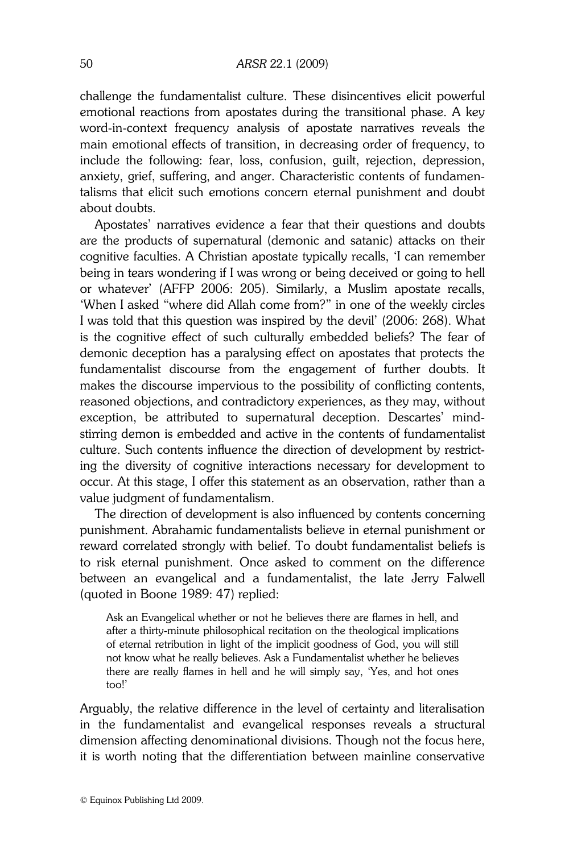challenge the fundamentalist culture. These disincentives elicit powerful emotional reactions from apostates during the transitional phase. A key word-in-context frequency analysis of apostate narratives reveals the main emotional effects of transition, in decreasing order of frequency, to include the following: fear, loss, confusion, guilt, rejection, depression, anxiety, grief, suffering, and anger. Characteristic contents of fundamentalisms that elicit such emotions concern eternal punishment and doubt about doubts.

 Apostates' narratives evidence a fear that their questions and doubts are the products of supernatural (demonic and satanic) attacks on their cognitive faculties. A Christian apostate typically recalls, 'I can remember being in tears wondering if I was wrong or being deceived or going to hell or whatever' (AFFP 2006: 205). Similarly, a Muslim apostate recalls, 'When I asked "where did Allah come from?" in one of the weekly circles I was told that this question was inspired by the devil' (2006: 268). What is the cognitive effect of such culturally embedded beliefs? The fear of demonic deception has a paralysing effect on apostates that protects the fundamentalist discourse from the engagement of further doubts. It makes the discourse impervious to the possibility of conflicting contents, reasoned objections, and contradictory experiences, as they may, without exception, be attributed to supernatural deception. Descartes' mindstirring demon is embedded and active in the contents of fundamentalist culture. Such contents influence the direction of development by restricting the diversity of cognitive interactions necessary for development to occur. At this stage, I offer this statement as an observation, rather than a value judgment of fundamentalism.

 The direction of development is also influenced by contents concerning punishment. Abrahamic fundamentalists believe in eternal punishment or reward correlated strongly with belief. To doubt fundamentalist beliefs is to risk eternal punishment. Once asked to comment on the difference between an evangelical and a fundamentalist, the late Jerry Falwell (quoted in Boone 1989: 47) replied: ľ

Ask an Evangelical whether or not he believes there are flames in hell, and after a thirty-minute philosophical recitation on the theological implications of eternal retribution in light of the implicit goodness of God, you will still not know what he really believes. Ask a Fundamentalist whether he believes there are really flames in hell and he will simply say, 'Yes, and hot ones too!'

Arguably, the relative difference in the level of certainty and literalisation in the fundamentalist and evangelical responses reveals a structural dimension affecting denominational divisions. Though not the focus here, it is worth noting that the differentiation between mainline conservative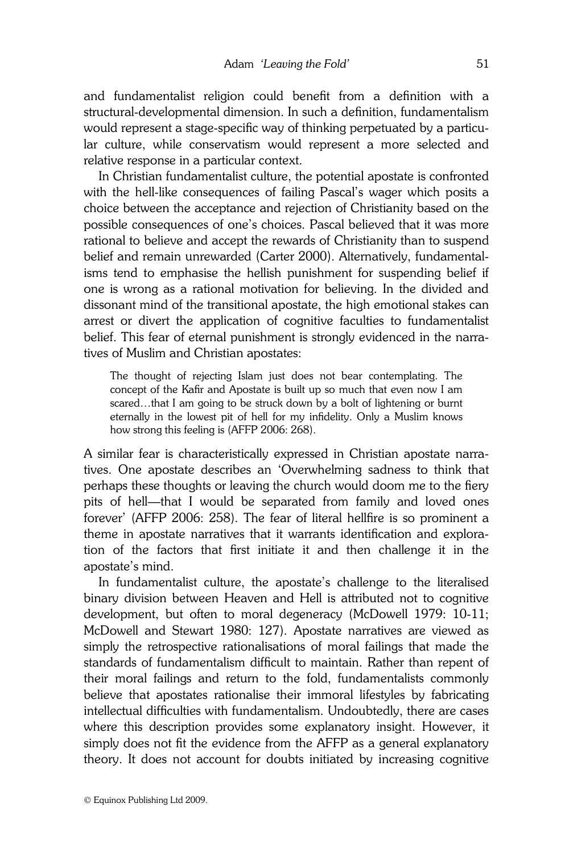and fundamentalist religion could benefit from a definition with a structural-developmental dimension. In such a definition, fundamentalism would represent a stage-specific way of thinking perpetuated by a particular culture, while conservatism would represent a more selected and relative response in a particular context.

 In Christian fundamentalist culture, the potential apostate is confronted with the hell-like consequences of failing Pascal's wager which posits a choice between the acceptance and rejection of Christianity based on the possible consequences of one's choices. Pascal believed that it was more rational to believe and accept the rewards of Christianity than to suspend belief and remain unrewarded (Carter 2000). Alternatively, fundamentalisms tend to emphasise the hellish punishment for suspending belief if one is wrong as a rational motivation for believing. In the divided and dissonant mind of the transitional apostate, the high emotional stakes can arrest or divert the application of cognitive faculties to fundamentalist belief. This fear of eternal punishment is strongly evidenced in the narratives of Muslim and Christian apostates:

The thought of rejecting Islam just does not bear contemplating. The concept of the Kafir and Apostate is built up so much that even now I am scared...that I am going to be struck down by a bolt of lightening or burnt eternally in the lowest pit of hell for my infidelity. Only a Muslim knows how strong this feeling is (AFFP 2006: 268).

A similar fear is characteristically expressed in Christian apostate narratives. One apostate describes an 'Overwhelming sadness to think that perhaps these thoughts or leaving the church would doom me to the fiery pits of hell—that I would be separated from family and loved ones forever' (AFFP 2006: 258). The fear of literal hellfire is so prominent a theme in apostate narratives that it warrants identification and exploration of the factors that first initiate it and then challenge it in the apostate's mind.

 In fundamentalist culture, the apostate's challenge to the literalised binary division between Heaven and Hell is attributed not to cognitive development, but often to moral degeneracy (McDowell 1979: 10-11; McDowell and Stewart 1980: 127). Apostate narratives are viewed as simply the retrospective rationalisations of moral failings that made the standards of fundamentalism difficult to maintain. Rather than repent of their moral failings and return to the fold, fundamentalists commonly believe that apostates rationalise their immoral lifestyles by fabricating intellectual difficulties with fundamentalism. Undoubtedly, there are cases where this description provides some explanatory insight. However, it simply does not fit the evidence from the AFFP as a general explanatory theory. It does not account for doubts initiated by increasing cognitive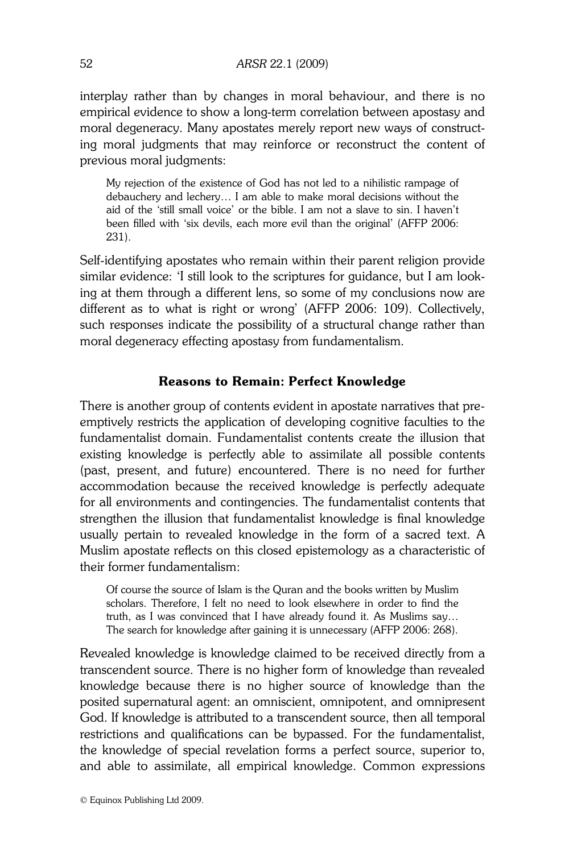interplay rather than by changes in moral behaviour, and there is no empirical evidence to show a long-term correlation between apostasy and moral degeneracy. Many apostates merely report new ways of constructing moral judgments that may reinforce or reconstruct the content of previous moral judgments:  $\overline{\phantom{a}}$ 

My rejection of the existence of God has not led to a nihilistic rampage of debauchery and lechery… I am able to make moral decisions without the aid of the 'still small voice' or the bible. I am not a slave to sin. I haven't been filled with 'six devils, each more evil than the original' (AFFP 2006: 231).

Self-identifying apostates who remain within their parent religion provide similar evidence: 'I still look to the scriptures for guidance, but I am looking at them through a different lens, so some of my conclusions now are different as to what is right or wrong' (AFFP 2006: 109). Collectively, such responses indicate the possibility of a structural change rather than moral degeneracy effecting apostasy from fundamentalism.

#### Reasons to Remain: Perfect Knowledge

There is another group of contents evident in apostate narratives that preemptively restricts the application of developing cognitive faculties to the fundamentalist domain. Fundamentalist contents create the illusion that existing knowledge is perfectly able to assimilate all possible contents (past, present, and future) encountered. There is no need for further accommodation because the received knowledge is perfectly adequate for all environments and contingencies. The fundamentalist contents that strengthen the illusion that fundamentalist knowledge is final knowledge usually pertain to revealed knowledge in the form of a sacred text. A Muslim apostate reflects on this closed epistemology as a characteristic of their former fundamentalism:

Of course the source of Islam is the Quran and the books written by Muslim scholars. Therefore, I felt no need to look elsewhere in order to find the truth, as I was convinced that I have already found it. As Muslims say… The search for knowledge after gaining it is unnecessary (AFFP 2006: 268).

Revealed knowledge is knowledge claimed to be received directly from a transcendent source. There is no higher form of knowledge than revealed knowledge because there is no higher source of knowledge than the posited supernatural agent: an omniscient, omnipotent, and omnipresent God. If knowledge is attributed to a transcendent source, then all temporal restrictions and qualifications can be bypassed. For the fundamentalist, the knowledge of special revelation forms a perfect source, superior to, and able to assimilate, all empirical knowledge. Common expressions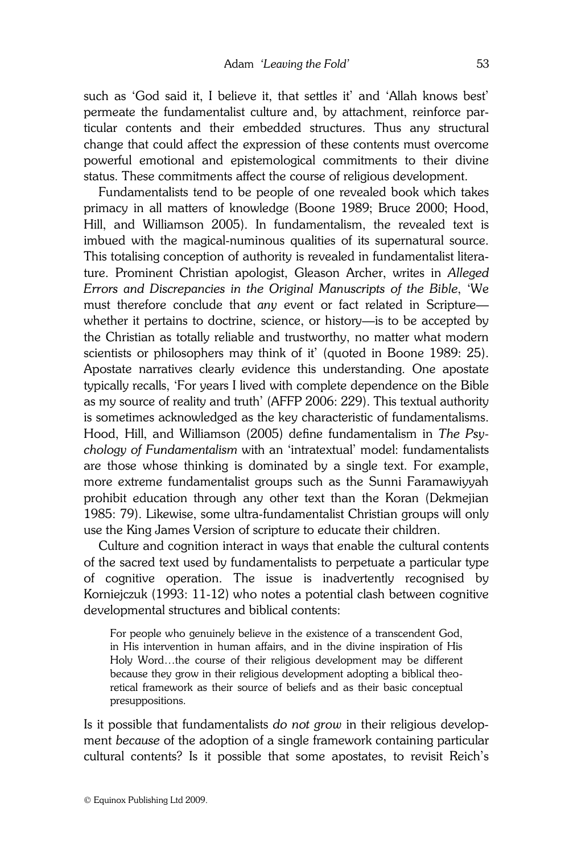such as 'God said it, I believe it, that settles it' and 'Allah knows best' permeate the fundamentalist culture and, by attachment, reinforce particular contents and their embedded structures. Thus any structural change that could affect the expression of these contents must overcome powerful emotional and epistemological commitments to their divine status. These commitments affect the course of religious development.

 Fundamentalists tend to be people of one revealed book which takes primacy in all matters of knowledge (Boone 1989; Bruce 2000; Hood, Hill, and Williamson 2005). In fundamentalism, the revealed text is imbued with the magical-numinous qualities of its supernatural source. This totalising conception of authority is revealed in fundamentalist literature. Prominent Christian apologist, Gleason Archer, writes in Alleged Errors and Discrepancies in the Original Manuscripts of the Bible, 'We must therefore conclude that any event or fact related in Scripture whether it pertains to doctrine, science, or history—is to be accepted by the Christian as totally reliable and trustworthy, no matter what modern scientists or philosophers may think of it' (quoted in Boone 1989: 25). Apostate narratives clearly evidence this understanding. One apostate typically recalls, 'For years I lived with complete dependence on the Bible as my source of reality and truth' (AFFP 2006: 229). This textual authority is sometimes acknowledged as the key characteristic of fundamentalisms. Hood, Hill, and Williamson (2005) define fundamentalism in The Psychology of Fundamentalism with an 'intratextual' model: fundamentalists are those whose thinking is dominated by a single text. For example, more extreme fundamentalist groups such as the Sunni Faramawiyyah prohibit education through any other text than the Koran (Dekmejian 1985: 79). Likewise, some ultra-fundamentalist Christian groups will only use the King James Version of scripture to educate their children.

 Culture and cognition interact in ways that enable the cultural contents of the sacred text used by fundamentalists to perpetuate a particular type of cognitive operation. The issue is inadvertently recognised by Korniejczuk (1993: 11-12) who notes a potential clash between cognitive developmental structures and biblical contents:

For people who genuinely believe in the existence of a transcendent God, in His intervention in human affairs, and in the divine inspiration of His Holy Word…the course of their religious development may be different because they grow in their religious development adopting a biblical theoretical framework as their source of beliefs and as their basic conceptual presuppositions.

Is it possible that fundamentalists do not grow in their religious development because of the adoption of a single framework containing particular cultural contents? Is it possible that some apostates, to revisit Reich's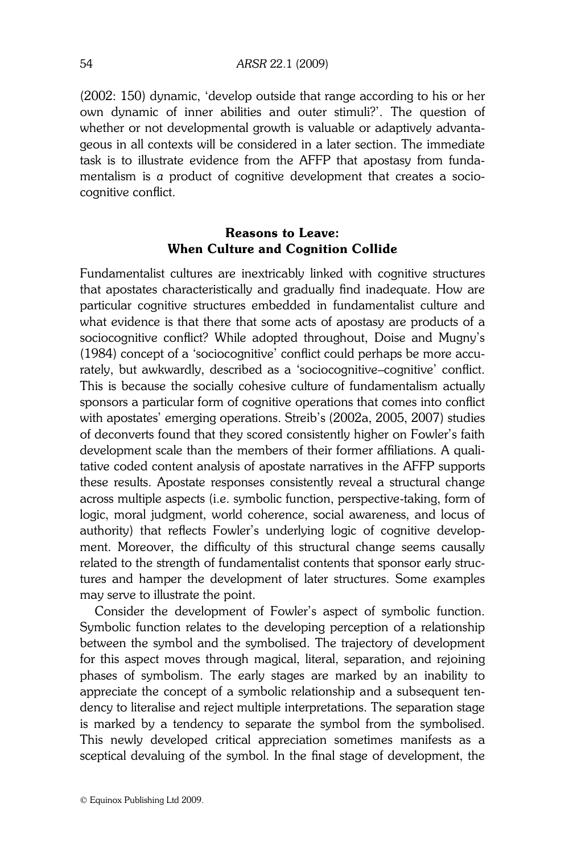(2002: 150) dynamic, 'develop outside that range according to his or her own dynamic of inner abilities and outer stimuli?'. The question of whether or not developmental growth is valuable or adaptively advantageous in all contexts will be considered in a later section. The immediate task is to illustrate evidence from the AFFP that apostasy from fundamentalism is a product of cognitive development that creates a sociocognitive conflict.

# Reasons to Leave: When Culture and Cognition Collide

Fundamentalist cultures are inextricably linked with cognitive structures that apostates characteristically and gradually find inadequate. How are particular cognitive structures embedded in fundamentalist culture and what evidence is that there that some acts of apostasy are products of a sociocognitive conflict? While adopted throughout, Doise and Mugny's (1984) concept of a 'sociocognitive' conflict could perhaps be more accurately, but awkwardly, described as a 'sociocognitive–cognitive' conflict. This is because the socially cohesive culture of fundamentalism actually sponsors a particular form of cognitive operations that comes into conflict with apostates' emerging operations. Streib's (2002a, 2005, 2007) studies of deconverts found that they scored consistently higher on Fowler's faith development scale than the members of their former affiliations. A qualitative coded content analysis of apostate narratives in the AFFP supports these results. Apostate responses consistently reveal a structural change across multiple aspects (i.e. symbolic function, perspective-taking, form of logic, moral judgment, world coherence, social awareness, and locus of authority) that reflects Fowler's underlying logic of cognitive development. Moreover, the difficulty of this structural change seems causally related to the strength of fundamentalist contents that sponsor early structures and hamper the development of later structures. Some examples may serve to illustrate the point.

 Consider the development of Fowler's aspect of symbolic function. Symbolic function relates to the developing perception of a relationship between the symbol and the symbolised. The trajectory of development for this aspect moves through magical, literal, separation, and rejoining phases of symbolism. The early stages are marked by an inability to appreciate the concept of a symbolic relationship and a subsequent tendency to literalise and reject multiple interpretations. The separation stage is marked by a tendency to separate the symbol from the symbolised. This newly developed critical appreciation sometimes manifests as a sceptical devaluing of the symbol. In the final stage of development, the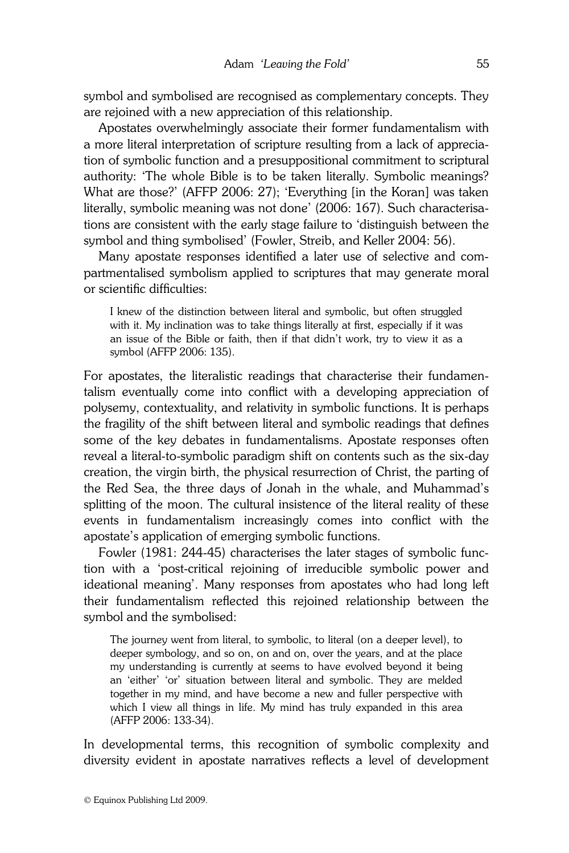symbol and symbolised are recognised as complementary concepts. They are rejoined with a new appreciation of this relationship.

 Apostates overwhelmingly associate their former fundamentalism with a more literal interpretation of scripture resulting from a lack of appreciation of symbolic function and a presuppositional commitment to scriptural authority: 'The whole Bible is to be taken literally. Symbolic meanings? What are those?' (AFFP 2006: 27); 'Everything [in the Koran] was taken literally, symbolic meaning was not done' (2006: 167). Such characterisations are consistent with the early stage failure to 'distinguish between the symbol and thing symbolised' (Fowler, Streib, and Keller 2004: 56).

 Many apostate responses identified a later use of selective and compartmentalised symbolism applied to scriptures that may generate moral or scientific difficulties:

I knew of the distinction between literal and symbolic, but often struggled with it. My inclination was to take things literally at first, especially if it was an issue of the Bible or faith, then if that didn't work, try to view it as a symbol (AFFP 2006: 135).

For apostates, the literalistic readings that characterise their fundamentalism eventually come into conflict with a developing appreciation of polysemy, contextuality, and relativity in symbolic functions. It is perhaps the fragility of the shift between literal and symbolic readings that defines some of the key debates in fundamentalisms. Apostate responses often reveal a literal-to-symbolic paradigm shift on contents such as the six-day creation, the virgin birth, the physical resurrection of Christ, the parting of the Red Sea, the three days of Jonah in the whale, and Muhammad's splitting of the moon. The cultural insistence of the literal reality of these events in fundamentalism increasingly comes into conflict with the apostate's application of emerging symbolic functions.

 Fowler (1981: 244-45) characterises the later stages of symbolic function with a 'post-critical rejoining of irreducible symbolic power and ideational meaning'. Many responses from apostates who had long left their fundamentalism reflected this rejoined relationship between the symbol and the symbolised:

The journey went from literal, to symbolic, to literal (on a deeper level), to deeper symbology, and so on, on and on, over the years, and at the place my understanding is currently at seems to have evolved beyond it being an 'either' 'or' situation between literal and symbolic. They are melded together in my mind, and have become a new and fuller perspective with which I view all things in life. My mind has truly expanded in this area (AFFP 2006: 133-34).

In developmental terms, this recognition of symbolic complexity and diversity evident in apostate narratives reflects a level of development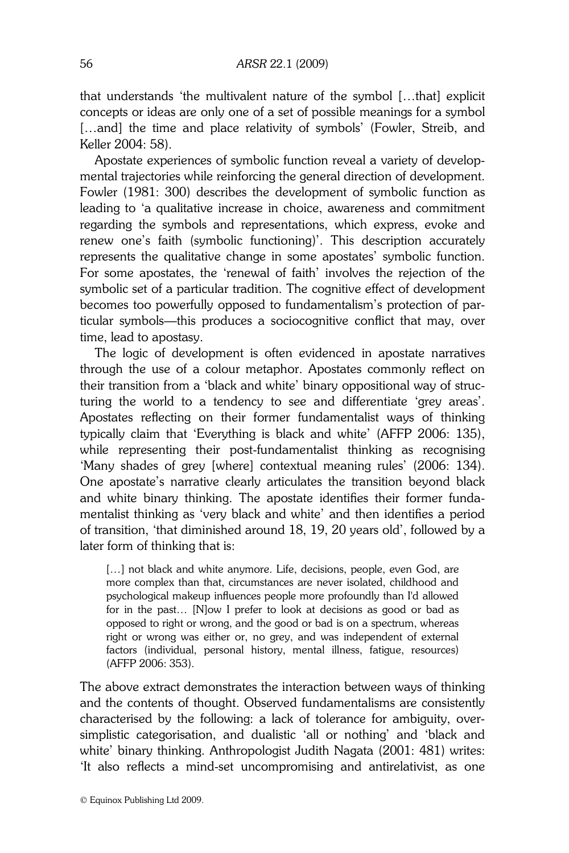that understands 'the multivalent nature of the symbol […that] explicit concepts or ideas are only one of a set of possible meanings for a symbol [...and] the time and place relativity of symbols' (Fowler, Streib, and Keller 2004: 58).

 Apostate experiences of symbolic function reveal a variety of developmental trajectories while reinforcing the general direction of development. Fowler (1981: 300) describes the development of symbolic function as leading to 'a qualitative increase in choice, awareness and commitment regarding the symbols and representations, which express, evoke and renew one's faith (symbolic functioning)'. This description accurately represents the qualitative change in some apostates' symbolic function. For some apostates, the 'renewal of faith' involves the rejection of the symbolic set of a particular tradition. The cognitive effect of development becomes too powerfully opposed to fundamentalism's protection of particular symbols—this produces a sociocognitive conflict that may, over time, lead to apostasy.

 The logic of development is often evidenced in apostate narratives through the use of a colour metaphor. Apostates commonly reflect on their transition from a 'black and white' binary oppositional way of structuring the world to a tendency to see and differentiate 'grey areas'. Apostates reflecting on their former fundamentalist ways of thinking typically claim that 'Everything is black and white' (AFFP 2006: 135), while representing their post-fundamentalist thinking as recognising 'Many shades of grey [where] contextual meaning rules' (2006: 134). One apostate's narrative clearly articulates the transition beyond black and white binary thinking. The apostate identifies their former fundamentalist thinking as 'very black and white' and then identifies a period of transition, 'that diminished around 18, 19, 20 years old', followed by a later form of thinking that is:

[...] not black and white anymore. Life, decisions, people, even God, are more complex than that, circumstances are never isolated, childhood and psychological makeup influences people more profoundly than I'd allowed for in the past… [N]ow I prefer to look at decisions as good or bad as opposed to right or wrong, and the good or bad is on a spectrum, whereas right or wrong was either or, no grey, and was independent of external factors (individual, personal history, mental illness, fatigue, resources) (AFFP 2006: 353).

The above extract demonstrates the interaction between ways of thinking and the contents of thought. Observed fundamentalisms are consistently characterised by the following: a lack of tolerance for ambiguity, oversimplistic categorisation, and dualistic 'all or nothing' and 'black and white' binary thinking. Anthropologist Judith Nagata (2001: 481) writes: 'It also reflects a mind-set uncompromising and antirelativist, as one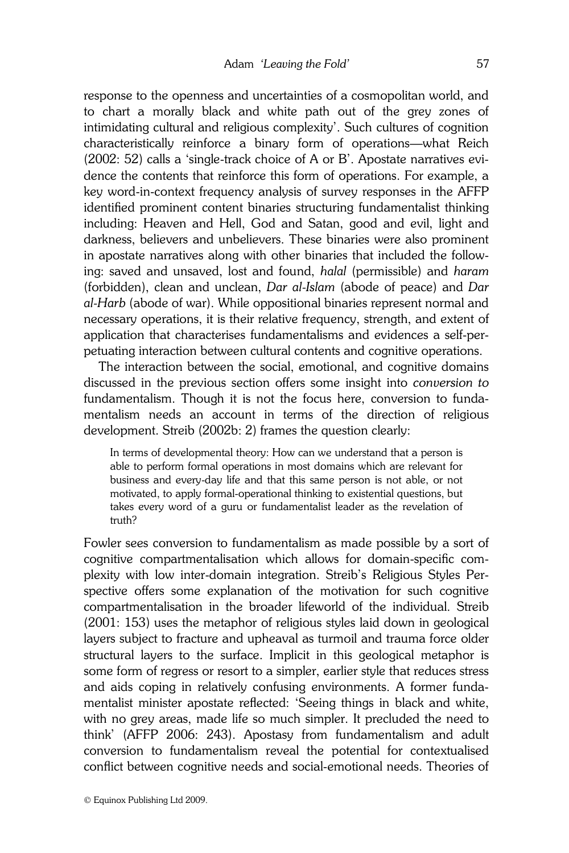response to the openness and uncertainties of a cosmopolitan world, and to chart a morally black and white path out of the grey zones of intimidating cultural and religious complexity'. Such cultures of cognition characteristically reinforce a binary form of operations—what Reich (2002: 52) calls a 'single-track choice of A or B'. Apostate narratives evidence the contents that reinforce this form of operations. For example, a key word-in-context frequency analysis of survey responses in the AFFP identified prominent content binaries structuring fundamentalist thinking including: Heaven and Hell, God and Satan, good and evil, light and darkness, believers and unbelievers. These binaries were also prominent in apostate narratives along with other binaries that included the following: saved and unsaved, lost and found, halal (permissible) and haram (forbidden), clean and unclean, Dar al-Islam (abode of peace) and Dar al-Harb (abode of war). While oppositional binaries represent normal and necessary operations, it is their relative frequency, strength, and extent of application that characterises fundamentalisms and evidences a self-perpetuating interaction between cultural contents and cognitive operations.

 The interaction between the social, emotional, and cognitive domains discussed in the previous section offers some insight into conversion to fundamentalism. Though it is not the focus here, conversion to fundamentalism needs an account in terms of the direction of religious development. Streib (2002b: 2) frames the question clearly:

In terms of developmental theory: How can we understand that a person is able to perform formal operations in most domains which are relevant for business and every-day life and that this same person is not able, or not motivated, to apply formal-operational thinking to existential questions, but takes every word of a guru or fundamentalist leader as the revelation of truth?

Fowler sees conversion to fundamentalism as made possible by a sort of cognitive compartmentalisation which allows for domain-specific complexity with low inter-domain integration. Streib's Religious Styles Perspective offers some explanation of the motivation for such cognitive compartmentalisation in the broader lifeworld of the individual. Streib (2001: 153) uses the metaphor of religious styles laid down in geological layers subject to fracture and upheaval as turmoil and trauma force older structural layers to the surface. Implicit in this geological metaphor is some form of regress or resort to a simpler, earlier style that reduces stress and aids coping in relatively confusing environments. A former fundamentalist minister apostate reflected: 'Seeing things in black and white, with no grey areas, made life so much simpler. It precluded the need to think' (AFFP 2006: 243). Apostasy from fundamentalism and adult conversion to fundamentalism reveal the potential for contextualised conflict between cognitive needs and social-emotional needs. Theories of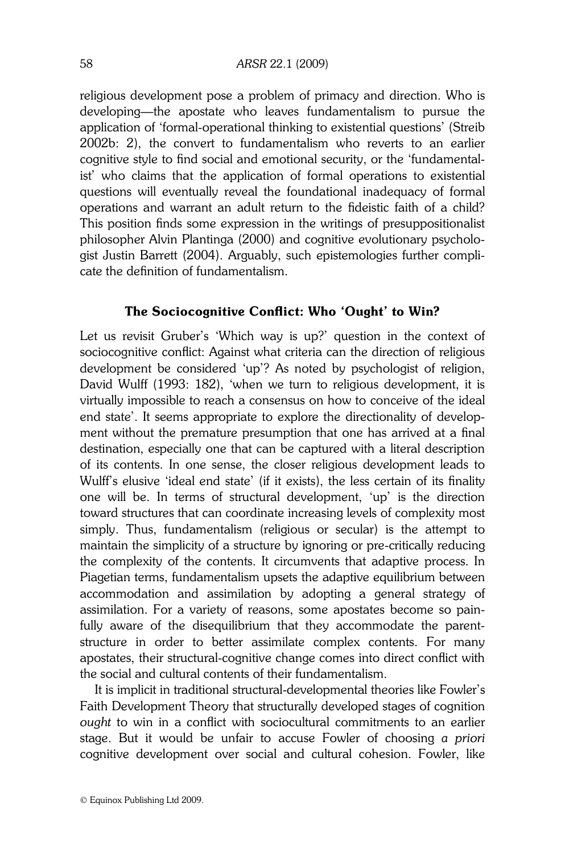religious development pose a problem of primacy and direction. Who is developing—the apostate who leaves fundamentalism to pursue the application of 'formal-operational thinking to existential questions' (Streib 2002b: 2), the convert to fundamentalism who reverts to an earlier cognitive style to find social and emotional security, or the 'fundamentalist' who claims that the application of formal operations to existential questions will eventually reveal the foundational inadequacy of formal operations and warrant an adult return to the fideistic faith of a child? This position finds some expression in the writings of presuppositionalist philosopher Alvin Plantinga (2000) and cognitive evolutionary psychologist Justin Barrett (2004). Arguably, such epistemologies further complicate the definition of fundamentalism.

### The Sociocognitive Conflict: Who 'Ought' to Win?

Let us revisit Gruber's 'Which way is up?' question in the context of sociocognitive conflict: Against what criteria can the direction of religious development be considered 'up'? As noted by psychologist of religion, David Wulff (1993: 182), 'when we turn to religious development, it is virtually impossible to reach a consensus on how to conceive of the ideal end state'. It seems appropriate to explore the directionality of development without the premature presumption that one has arrived at a final destination, especially one that can be captured with a literal description of its contents. In one sense, the closer religious development leads to Wulff's elusive 'ideal end state' (if it exists), the less certain of its finality one will be. In terms of structural development, 'up' is the direction toward structures that can coordinate increasing levels of complexity most simply. Thus, fundamentalism (religious or secular) is the attempt to maintain the simplicity of a structure by ignoring or pre-critically reducing the complexity of the contents. It circumvents that adaptive process. In Piagetian terms, fundamentalism upsets the adaptive equilibrium between accommodation and assimilation by adopting a general strategy of assimilation. For a variety of reasons, some apostates become so painfully aware of the disequilibrium that they accommodate the parentstructure in order to better assimilate complex contents. For many apostates, their structural-cognitive change comes into direct conflict with the social and cultural contents of their fundamentalism.

 It is implicit in traditional structural-developmental theories like Fowler's Faith Development Theory that structurally developed stages of cognition ought to win in a conflict with sociocultural commitments to an earlier stage. But it would be unfair to accuse Fowler of choosing a priori cognitive development over social and cultural cohesion. Fowler, like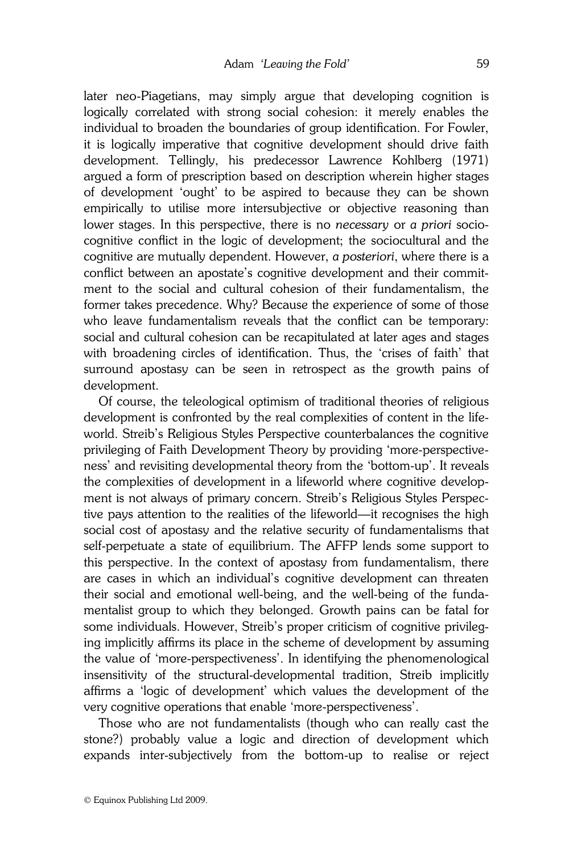later neo-Piagetians, may simply argue that developing cognition is logically correlated with strong social cohesion: it merely enables the individual to broaden the boundaries of group identification. For Fowler, it is logically imperative that cognitive development should drive faith development. Tellingly, his predecessor Lawrence Kohlberg (1971) argued a form of prescription based on description wherein higher stages of development 'ought' to be aspired to because they can be shown empirically to utilise more intersubjective or objective reasoning than lower stages. In this perspective, there is no necessary or a priori sociocognitive conflict in the logic of development; the sociocultural and the cognitive are mutually dependent. However, a posteriori, where there is a conflict between an apostate's cognitive development and their commitment to the social and cultural cohesion of their fundamentalism, the former takes precedence. Why? Because the experience of some of those who leave fundamentalism reveals that the conflict can be temporary: social and cultural cohesion can be recapitulated at later ages and stages with broadening circles of identification. Thus, the 'crises of faith' that surround apostasy can be seen in retrospect as the growth pains of development.

 Of course, the teleological optimism of traditional theories of religious development is confronted by the real complexities of content in the lifeworld. Streib's Religious Styles Perspective counterbalances the cognitive privileging of Faith Development Theory by providing 'more-perspectiveness' and revisiting developmental theory from the 'bottom-up'. It reveals the complexities of development in a lifeworld where cognitive development is not always of primary concern. Streib's Religious Styles Perspective pays attention to the realities of the lifeworld—it recognises the high social cost of apostasy and the relative security of fundamentalisms that self-perpetuate a state of equilibrium. The AFFP lends some support to this perspective. In the context of apostasy from fundamentalism, there are cases in which an individual's cognitive development can threaten their social and emotional well-being, and the well-being of the fundamentalist group to which they belonged. Growth pains can be fatal for some individuals. However, Streib's proper criticism of cognitive privileging implicitly affirms its place in the scheme of development by assuming the value of 'more-perspectiveness'. In identifying the phenomenological insensitivity of the structural-developmental tradition, Streib implicitly affirms a 'logic of development' which values the development of the very cognitive operations that enable 'more-perspectiveness'.

 Those who are not fundamentalists (though who can really cast the stone?) probably value a logic and direction of development which expands inter-subjectively from the bottom-up to realise or reject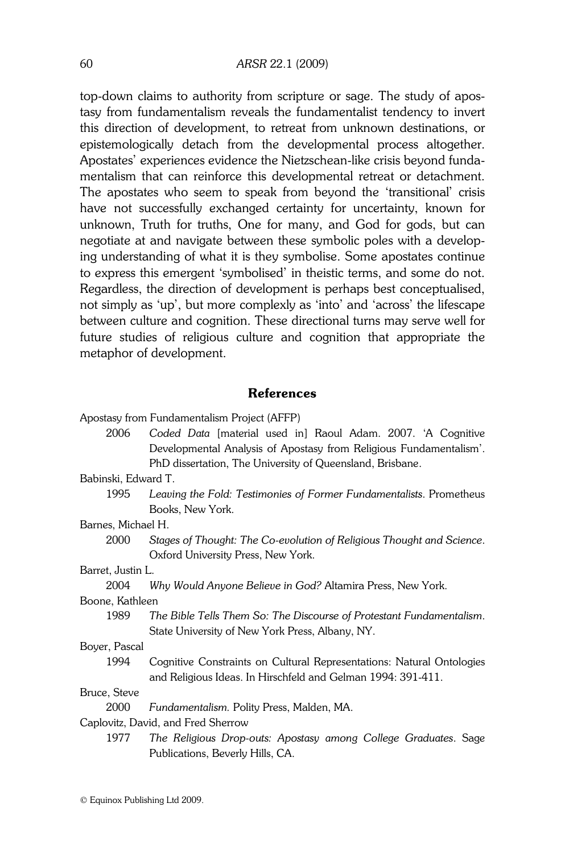top-down claims to authority from scripture or sage. The study of apostasy from fundamentalism reveals the fundamentalist tendency to invert this direction of development, to retreat from unknown destinations, or epistemologically detach from the developmental process altogether. Apostates' experiences evidence the Nietzschean-like crisis beyond fundamentalism that can reinforce this developmental retreat or detachment. The apostates who seem to speak from beyond the 'transitional' crisis have not successfully exchanged certainty for uncertainty, known for unknown, Truth for truths, One for many, and God for gods, but can negotiate at and navigate between these symbolic poles with a developing understanding of what it is they symbolise. Some apostates continue to express this emergent 'symbolised' in theistic terms, and some do not. Regardless, the direction of development is perhaps best conceptualised, not simply as 'up', but more complexly as 'into' and 'across' the lifescape between culture and cognition. These directional turns may serve well for future studies of religious culture and cognition that appropriate the metaphor of development.

### References

Apostasy from Fundamentalism Project (AFFP)

|                                    | 2006         | Coded Data [material used in] Raoul Adam. 2007. 'A Cognitive          |
|------------------------------------|--------------|-----------------------------------------------------------------------|
|                                    |              | Developmental Analysis of Apostasy from Religious Fundamentalism'.    |
|                                    |              | PhD dissertation, The University of Queensland, Brisbane.             |
| Babinski, Edward T.                |              |                                                                       |
|                                    | 1995         | Leaving the Fold: Testimonies of Former Fundamentalists. Prometheus   |
|                                    |              | Books, New York.                                                      |
| Barnes, Michael H.                 |              |                                                                       |
|                                    | 2000         | Stages of Thought: The Co-evolution of Religious Thought and Science. |
|                                    |              | Oxford University Press, New York.                                    |
| Barret, Justin L.                  |              |                                                                       |
|                                    | 2004         | Why Would Anyone Believe in God? Altamira Press, New York.            |
| Boone, Kathleen                    |              |                                                                       |
|                                    | 1989         | The Bible Tells Them So: The Discourse of Protestant Fundamentalism.  |
|                                    |              | State University of New York Press, Albany, NY.                       |
| Boyer, Pascal                      |              |                                                                       |
|                                    | 1994         | Cognitive Constraints on Cultural Representations: Natural Ontologies |
|                                    |              | and Religious Ideas. In Hirschfeld and Gelman 1994: 391-411.          |
|                                    | Bruce, Steve |                                                                       |
|                                    | 2000         | Fundamentalism. Polity Press, Malden, MA.                             |
| Caplovitz, David, and Fred Sherrow |              |                                                                       |
|                                    | 1977         | The Religious Drop-outs: Apostasy among College Graduates. Sage       |
|                                    |              | Publications, Beverly Hills, CA.                                      |
|                                    |              |                                                                       |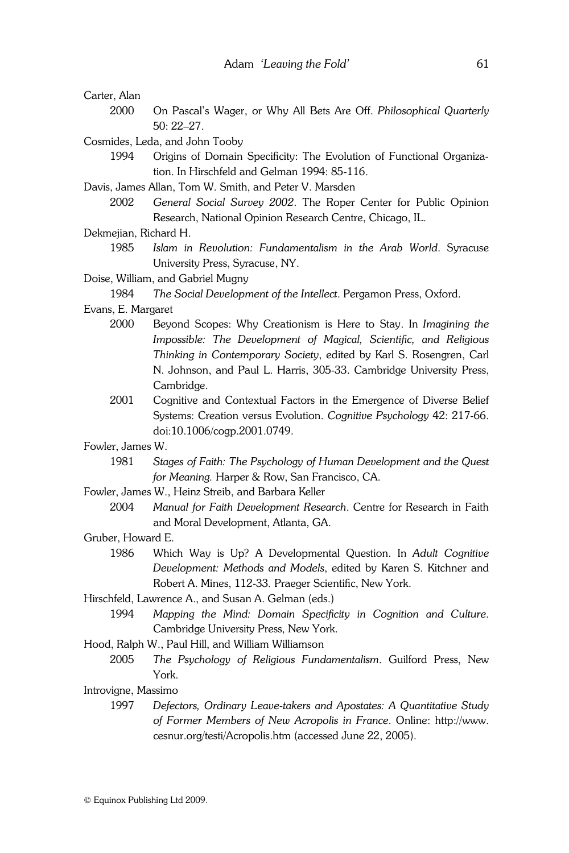- Carter, Alan
	- 2000 On Pascal's Wager, or Why All Bets Are Off. Philosophical Quarterly 50: 22–27.
- Cosmides, Leda, and John Tooby
	- 1994 Origins of Domain Specificity: The Evolution of Functional Organization. In Hirschfeld and Gelman 1994: 85-116.
- Davis, James Allan, Tom W. Smith, and Peter V. Marsden
	- 2002 General Social Survey 2002. The Roper Center for Public Opinion Research, National Opinion Research Centre, Chicago, IL.
- Dekmejian, Richard H.
	- 1985 Islam in Revolution: Fundamentalism in the Arab World. Syracuse University Press, Syracuse, NY.
- Doise, William, and Gabriel Mugny

1984 The Social Development of the Intellect. Pergamon Press, Oxford.

- Evans, E. Margaret
	- 2000 Beyond Scopes: Why Creationism is Here to Stay. In Imagining the Impossible: The Development of Magical, Scientific, and Religious Thinking in Contemporary Society, edited by Karl S. Rosengren, Carl N. Johnson, and Paul L. Harris, 305-33. Cambridge University Press, Cambridge.
	- 2001 Cognitive and Contextual Factors in the Emergence of Diverse Belief Systems: Creation versus Evolution. Cognitive Psychology 42: 217-66. doi:10.1006/cogp.2001.0749.

Fowler, James W.

- 1981 Stages of Faith: The Psychology of Human Development and the Quest for Meaning. Harper & Row, San Francisco, CA.
- Fowler, James W., Heinz Streib, and Barbara Keller
	- 2004 Manual for Faith Development Research. Centre for Research in Faith and Moral Development, Atlanta, GA.

#### Gruber, Howard E.

- 1986 Which Way is Up? A Developmental Question. In Adult Cognitive Development: Methods and Models, edited by Karen S. Kitchner and Robert A. Mines, 112-33. Praeger Scientific, New York.
- Hirschfeld, Lawrence A., and Susan A. Gelman (eds.)
	- 1994 Mapping the Mind: Domain Specificity in Cognition and Culture. Cambridge University Press, New York.
- Hood, Ralph W., Paul Hill, and William Williamson
	- 2005 The Psychology of Religious Fundamentalism. Guilford Press, New York.
- Introvigne, Massimo
	- 1997 Defectors, Ordinary Leave-takers and Apostates: A Quantitative Study of Former Members of New Acropolis in France. Online: http://www. cesnur.org/testi/Acropolis.htm (accessed June 22, 2005).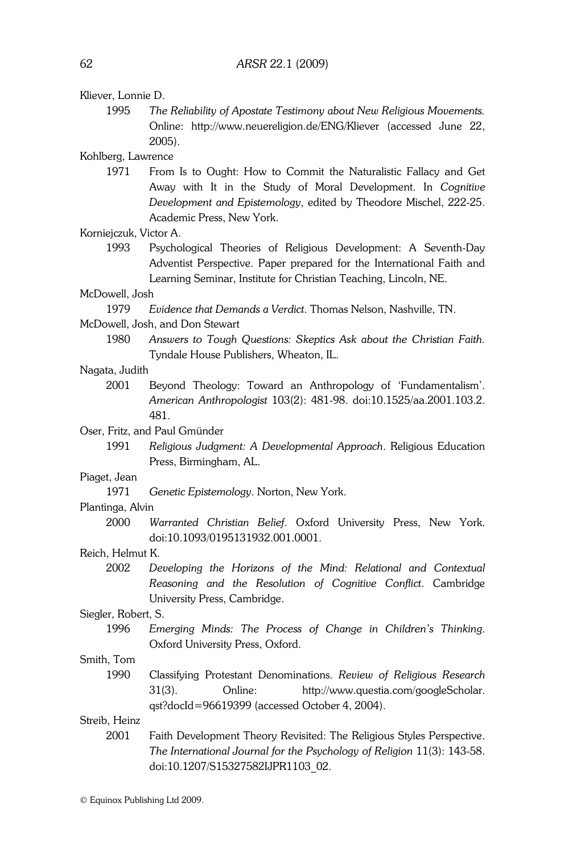1995 The Reliability of Apostate Testimony about New Religious Movements.

Online: http://www.neuereligion.de/ENG/Kliever (accessed June 22, 2005). Kohlberg, Lawrence 1971 From Is to Ought: How to Commit the Naturalistic Fallacy and Get Away with It in the Study of Moral Development. In Cognitive Development and Epistemology, edited by Theodore Mischel, 222-25. Academic Press, New York. Korniejczuk, Victor A. 1993 Psychological Theories of Religious Development: A Seventh-Day Adventist Perspective. Paper prepared for the International Faith and Learning Seminar, Institute for Christian Teaching, Lincoln, NE. McDowell, Josh 1979 Evidence that Demands a Verdict. Thomas Nelson, Nashville, TN. McDowell, Josh, and Don Stewart 1980 Answers to Tough Questions: Skeptics Ask about the Christian Faith. Tyndale House Publishers, Wheaton, IL. Nagata, Judith 2001 Beyond Theology: Toward an Anthropology of 'Fundamentalism'. American Anthropologist 103(2): 481-98. doi:10.1525/aa.2001.103.2. 481. Oser, Fritz, and Paul Gmünder 1991 Religious Judgment: A Developmental Approach. Religious Education Press, Birmingham, AL. Piaget, Jean 1971 Genetic Epistemology. Norton, New York. Plantinga, Alvin 2000 Warranted Christian Belief. Oxford University Press, New York. doi:10.1093/0195131932.001.0001. Reich, Helmut K. 2002 Developing the Horizons of the Mind: Relational and Contextual Reasoning and the Resolution of Cognitive Conflict. Cambridge University Press, Cambridge. Siegler, Robert, S. 1996 Emerging Minds: The Process of Change in Children's Thinking. Oxford University Press, Oxford. Smith, Tom 1990 Classifying Protestant Denominations. Review of Religious Research 31(3). Online: http://www.questia.com/googleScholar. qst?docId=96619399 (accessed October 4, 2004). Streib, Heinz

 2001 Faith Development Theory Revisited: The Religious Styles Perspective. The International Journal for the Psychology of Religion 11(3): 143-58. doi:10.1207/S15327582IJPR1103\_02.

Kliever, Lonnie D.